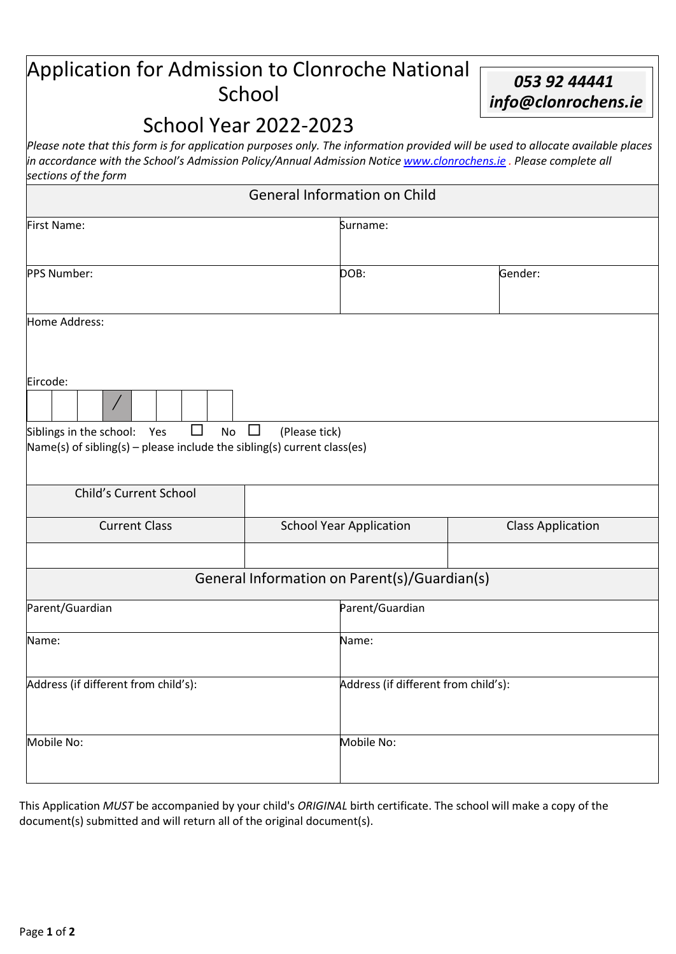## Application for Admission to Clonroche National *<sup>053</sup> 92 44441* School *[info@clonrochens.ie](mailto:info@clonrochens.ie)*

## School Year 2022-2023

*Please note that this form is for application purposes only. The information provided will be used to allocate available places in accordance with the School's Admission Policy/Annual Admission Notice [www.clonrochens.ie](http://www.clonrochens.ie/) . Please complete all sections of the form*

| <b>General Information on Child</b>                                                                                                                 |                                              |                                      |  |  |  |  |
|-----------------------------------------------------------------------------------------------------------------------------------------------------|----------------------------------------------|--------------------------------------|--|--|--|--|
| <b>First Name:</b>                                                                                                                                  | Surname:                                     |                                      |  |  |  |  |
| PPS Number:                                                                                                                                         | DOB:                                         | Gender:                              |  |  |  |  |
| Home Address:                                                                                                                                       |                                              |                                      |  |  |  |  |
| Eircode:<br>$\sqrt{2}$<br>$\Box$<br>Siblings in the school:<br>Yes<br>No<br>Name(s) of sibling(s) - please include the sibling(s) current class(es) | $\Box$<br>(Please tick)                      |                                      |  |  |  |  |
| <b>Child's Current School</b>                                                                                                                       |                                              |                                      |  |  |  |  |
| <b>Current Class</b>                                                                                                                                | <b>School Year Application</b>               | <b>Class Application</b>             |  |  |  |  |
|                                                                                                                                                     | General Information on Parent(s)/Guardian(s) |                                      |  |  |  |  |
| Parent/Guardian                                                                                                                                     | Parent/Guardian                              |                                      |  |  |  |  |
| Name:                                                                                                                                               | Name:                                        |                                      |  |  |  |  |
| Address (if different from child's):                                                                                                                |                                              | Address (if different from child's): |  |  |  |  |
| Mobile No:                                                                                                                                          | Mobile No:                                   |                                      |  |  |  |  |

This Application *MUST* be accompanied by your child's *ORIGINAL* birth certificate. The school will make a copy of the document(s) submitted and will return all of the original document(s).